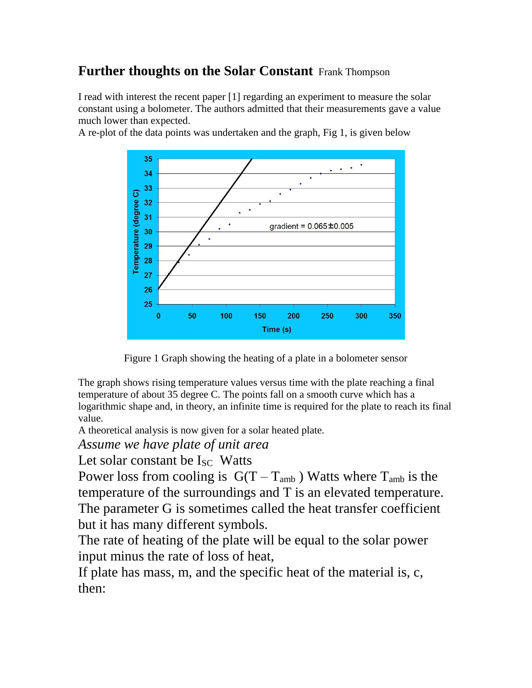#### **Further thoughts on the Solar Constant** Frank Thompson

I read with interest the recent paper [1] regarding an experiment to measure the solar constant using a bolometer. The authors admitted that their measurements gave a value much lower than expected.

A re-plot of the data points was undertaken and the graph, Fig 1, is given below



Figure 1 Graph showing the heating of a plate in a bolometer sensor

The graph shows rising temperature values versus time with the plate reaching a final temperature of about 35 degree C. The points fall on a smooth curve which has a logarithmic shape and, in theory, an infinite time is required for the plate to reach its final value.

A theoretical analysis is now given for a solar heated plate.

*Assume we have plate of unit area*

Let solar constant be  $I_{SC}$  Watts

Power loss from cooling is  $G(T - T_{amb})$  Watts where  $T_{amb}$  is the temperature of the surroundings and T is an elevated temperature. The parameter G is sometimes called the heat transfer coefficient but it has many different symbols.

The rate of heating of the plate will be equal to the solar power input minus the rate of loss of heat,

If plate has mass, m, and the specific heat of the material is, c, then: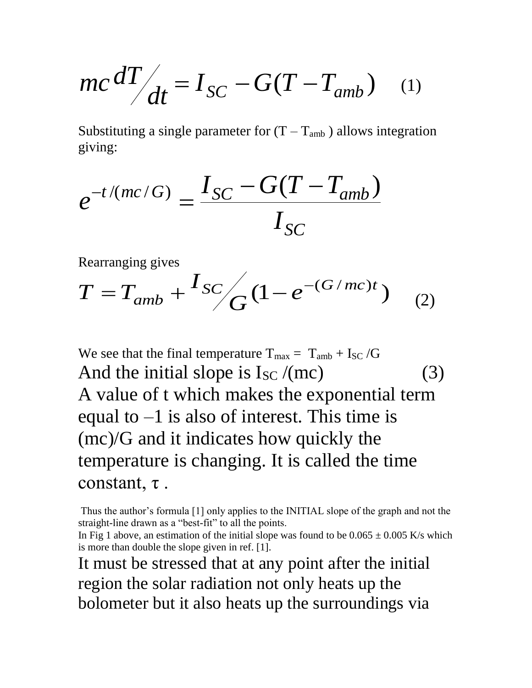$$
mc \, dT/dt = I_{SC} - G(T - T_{amb}) \quad (1)
$$

Substituting a single parameter for  $(T - T_{amb})$  allows integration giving:

$$
e^{-t/(mc/G)} = \frac{I_{SC} - G(T - T_{amb})}{I_{SC}}
$$

Rearranging gives

$$
T = T_{amb} + \frac{I_{SC}}{G} (1 - e^{-(G/mc)t})
$$
 (2)

We see that the final temperature  $T_{\text{max}} = T_{\text{amb}} + I_{\text{SC}}/G$ And the initial slope is  $I_{SC} / (mc)$  (3) A value of t which makes the exponential term equal to  $-1$  is also of interest. This time is (mc)/G and it indicates how quickly the temperature is changing. It is called the time constant, τ .

Thus the author's formula [1] only applies to the INITIAL slope of the graph and not the straight-line drawn as a "best-fit" to all the points.

In Fig 1 above, an estimation of the initial slope was found to be  $0.065 \pm 0.005$  K/s which is more than double the slope given in ref. [1].

It must be stressed that at any point after the initial region the solar radiation not only heats up the bolometer but it also heats up the surroundings via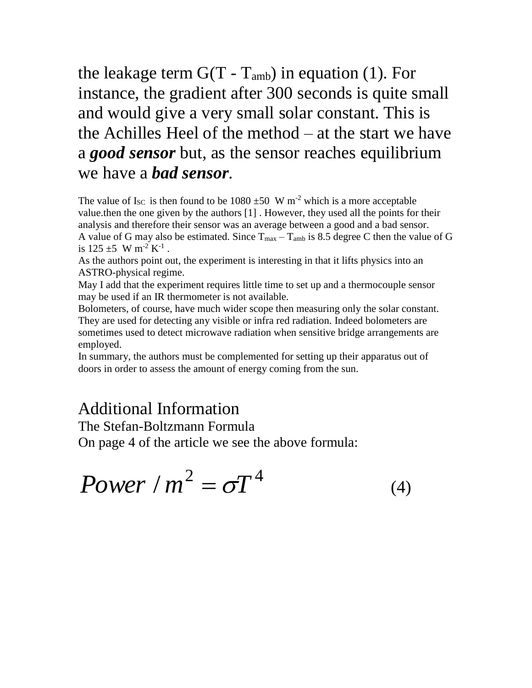## the leakage term  $G(T - T_{amb})$  in equation (1). For instance, the gradient after 300 seconds is quite small and would give a very small solar constant. This is the Achilles Heel of the method – at the start we have a *good sensor* but, as the sensor reaches equilibrium we have a *bad sensor*.

The value of I<sub>SC</sub> is then found to be  $1080 \pm 50$  W m<sup>-2</sup> which is a more acceptable value.then the one given by the authors [1] . However, they used all the points for their analysis and therefore their sensor was an average between a good and a bad sensor. A value of G may also be estimated. Since  $T_{max} - T_{amb}$  is 8.5 degree C then the value of G is  $125 \pm 5$  W m<sup>-2</sup> K<sup>-1</sup>.

As the authors point out, the experiment is interesting in that it lifts physics into an ASTRO-physical regime.

May I add that the experiment requires little time to set up and a thermocouple sensor may be used if an IR thermometer is not available.

Bolometers, of course, have much wider scope then measuring only the solar constant. They are used for detecting any visible or infra red radiation. Indeed bolometers are sometimes used to detect microwave radiation when sensitive bridge arrangements are employed.

In summary, the authors must be complemented for setting up their apparatus out of doors in order to assess the amount of energy coming from the sun.

### Additional Information

The Stefan-Boltzmann Formula

On page 4 of the article we see the above formula:

$$
Power / m^2 = \sigma T^4 \tag{4}
$$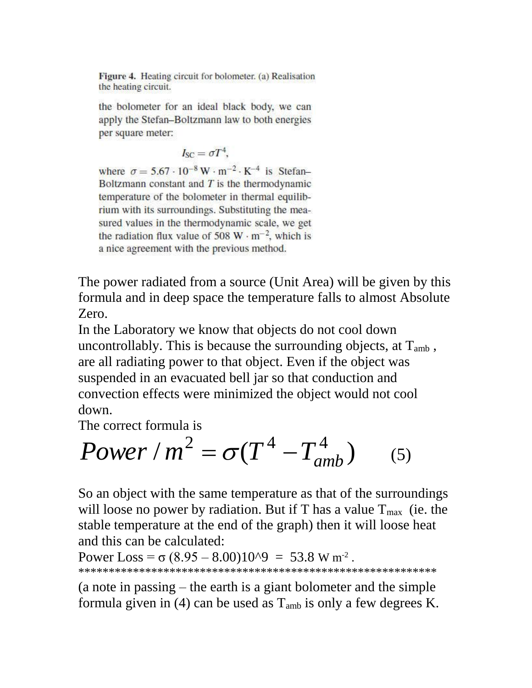Figure 4. Heating circuit for bolometer. (a) Realisation the heating circuit.

the bolometer for an ideal black body, we can apply the Stefan-Boltzmann law to both energies per square meter:

$$
I_{SC} = \sigma T^4,
$$

where  $\sigma = 5.67 \cdot 10^{-8} \,\mathrm{W} \cdot \mathrm{m}^{-2} \cdot \mathrm{K}^{-4}$  is Stefan-Boltzmann constant and  $T$  is the thermodynamic temperature of the bolometer in thermal equilibrium with its surroundings. Substituting the measured values in the thermodynamic scale, we get the radiation flux value of 508 W  $\cdot$  m<sup>-2</sup>, which is a nice agreement with the previous method.

The power radiated from a source (Unit Area) will be given by this formula and in deep space the temperature falls to almost Absolute Zero.

In the Laboratory we know that objects do not cool down uncontrollably. This is because the surrounding objects, at  $T_{amb}$ , are all radiating power to that object. Even if the object was suspended in an evacuated bell jar so that conduction and convection effects were minimized the object would not cool down.

The correct formula is

$$
Power/m^2 = \sigma(T^4 - T_{amb}^4)
$$
 (5)

So an object with the same temperature as that of the surroundings will loose no power by radiation. But if T has a value  $T_{\text{max}}$  (ie. the stable temperature at the end of the graph) then it will loose heat and this can be calculated:

```
Power Loss = \sigma (8.95 – 8.00)10^9 = 53.8 W m<sup>-2</sup>.
***********************************************************
```
(a note in passing – the earth is a giant bolometer and the simple formula given in (4) can be used as  $T_{amb}$  is only a few degrees K.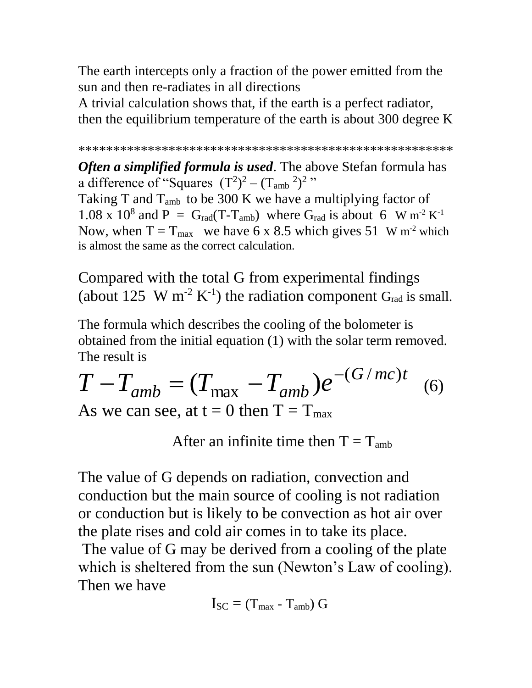The earth intercepts only a fraction of the power emitted from the sun and then re-radiates in all directions

A trivial calculation shows that, if the earth is a perfect radiator, then the equilibrium temperature of the earth is about 300 degree K

```
******************************************************
```
*Often a simplified formula is used*. The above Stefan formula has a difference of "Squares  $(T^2)^2 - (T_{amb}^2)^2$ " Taking T and  $T_{amb}$  to be 300 K we have a multiplying factor of 1.08 x 10<sup>8</sup> and P = G<sub>rad</sub>(T-T<sub>amb</sub>) where G<sub>rad</sub> is about 6 W m<sup>-2</sup> K<sup>-1</sup> Now, when  $T = T_{max}$  we have 6 x 8.5 which gives 51 W m<sup>-2</sup> which is almost the same as the correct calculation.

Compared with the total G from experimental findings (about 125 W m<sup>-2</sup> K<sup>-1</sup>) the radiation component G<sub>rad</sub> is small.

The formula which describes the cooling of the bolometer is obtained from the initial equation (1) with the solar term removed. The result is

$$
T - T_{amb} = (T_{max} - T_{amb})e^{-(G/mc)t}
$$
  
As we can see, at t = 0 then T = T<sub>max</sub> (6)

After an infinite time then  $T = T_{amb}$ 

The value of G depends on radiation, convection and conduction but the main source of cooling is not radiation or conduction but is likely to be convection as hot air over the plate rises and cold air comes in to take its place.

The value of G may be derived from a cooling of the plate which is sheltered from the sun (Newton's Law of cooling). Then we have

$$
I_{SC} = (T_{\text{max}} - T_{\text{amb}}) G
$$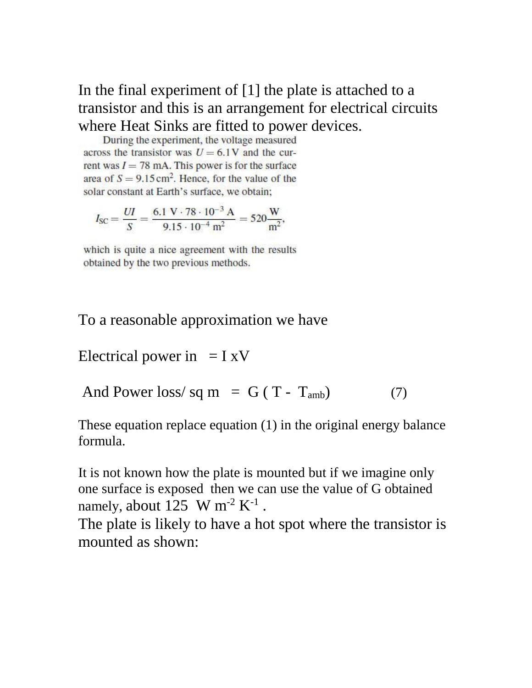# In the final experiment of [1] the plate is attached to a transistor and this is an arrangement for electrical circuits where Heat Sinks are fitted to power devices.<br>During the experiment, the voltage measured

across the transistor was  $U = 6.1$ V and the current was  $I = 78$  mA. This power is for the surface area of  $S = 9.15 \text{ cm}^2$ . Hence, for the value of the solar constant at Earth's surface, we obtain;

$$
I_{SC} = \frac{UI}{S} = \frac{6.1 \text{ V} \cdot 78 \cdot 10^{-3} \text{ A}}{9.15 \cdot 10^{-4} \text{ m}^2} = 520 \frac{\text{W}}{\text{m}^2},
$$

which is quite a nice agreement with the results obtained by the two previous methods.

#### To a reasonable approximation we have

Electrical power in  $= I xV$ 

And Power loss/sq m =  $G(T - T<sub>amb</sub>)$  (7)

These equation replace equation (1) in the original energy balance formula.

It is not known how the plate is mounted but if we imagine only one surface is exposed then we can use the value of G obtained namely, about 125 W m<sup>-2</sup>  $K^{-1}$ .

The plate is likely to have a hot spot where the transistor is mounted as shown: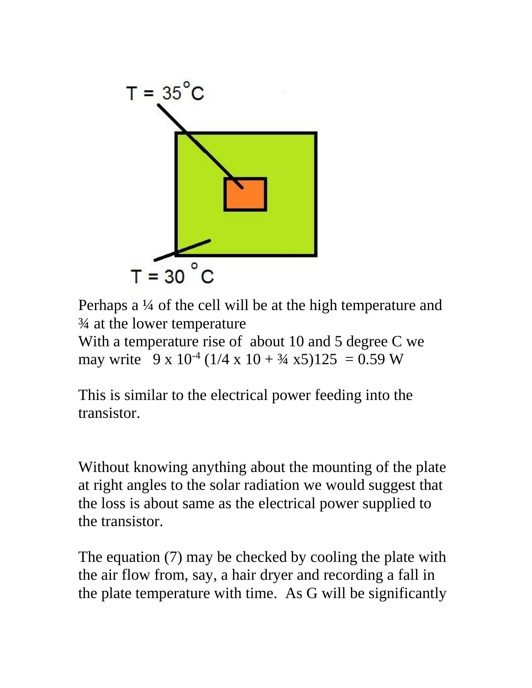

Perhaps a ¼ of the cell will be at the high temperature and ¾ at the lower temperature

With a temperature rise of about 10 and 5 degree C we may write  $9 \times 10^{-4}$  (1/4 x 10 +  $\frac{3}{4}$  x5)125 = 0.59 W

This is similar to the electrical power feeding into the transistor.

Without knowing anything about the mounting of the plate at right angles to the solar radiation we would suggest that the loss is about same as the electrical power supplied to the transistor.

The equation (7) may be checked by cooling the plate with the air flow from, say, a hair dryer and recording a fall in the plate temperature with time. As G will be significantly